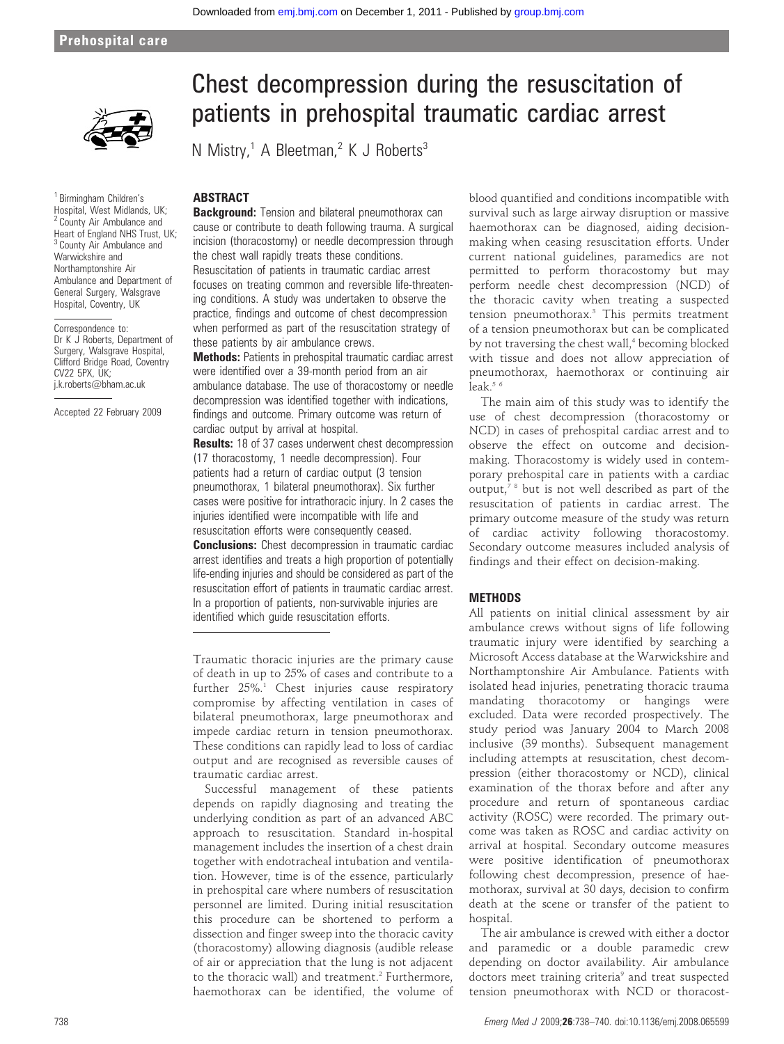#### Prehospital care



<sup>1</sup> Birmingham Children's Hospital, West Midlands, UK; <sup>2</sup> County Air Ambulance and Heart of England NHS Trust, UK; <sup>3</sup> County Air Ambulance and Warwickshire and Northamptonshire Air Ambulance and Department of General Surgery, Walsgrave Hospital, Coventry, UK

Correspondence to: Dr K J Roberts, Department of Surgery, Walsgrave Hospital, Clifford Bridge Road, Coventry CV22 5PX, UK; j.k.roberts@bham.ac.uk

Accepted 22 February 2009

# Chest decompression during the resuscitation of patients in prehospital traumatic cardiac arrest

N Mistry,<sup>1</sup> A Bleetman,<sup>2</sup> K J Roberts<sup>3</sup>

# ABSTRACT

**Background:** Tension and bilateral pneumothorax can cause or contribute to death following trauma. A surgical incision (thoracostomy) or needle decompression through the chest wall rapidly treats these conditions. Resuscitation of patients in traumatic cardiac arrest focuses on treating common and reversible life-threatening conditions. A study was undertaken to observe the practice, findings and outcome of chest decompression when performed as part of the resuscitation strategy of these patients by air ambulance crews.

Methods: Patients in prehospital traumatic cardiac arrest were identified over a 39-month period from an air ambulance database. The use of thoracostomy or needle decompression was identified together with indications, findings and outcome. Primary outcome was return of cardiac output by arrival at hospital.

**Results:** 18 of 37 cases underwent chest decompression (17 thoracostomy, 1 needle decompression). Four patients had a return of cardiac output (3 tension pneumothorax, 1 bilateral pneumothorax). Six further cases were positive for intrathoracic injury. In 2 cases the injuries identified were incompatible with life and resuscitation efforts were consequently ceased. **Conclusions:** Chest decompression in traumatic cardiac arrest identifies and treats a high proportion of potentially life-ending injuries and should be considered as part of the resuscitation effort of patients in traumatic cardiac arrest. In a proportion of patients, non-survivable injuries are identified which guide resuscitation efforts.

Traumatic thoracic injuries are the primary cause of death in up to 25% of cases and contribute to a further  $25\%$ <sup>1</sup> Chest injuries cause respiratory compromise by affecting ventilation in cases of bilateral pneumothorax, large pneumothorax and impede cardiac return in tension pneumothorax. These conditions can rapidly lead to loss of cardiac output and are recognised as reversible causes of traumatic cardiac arrest.

Successful management of these patients depends on rapidly diagnosing and treating the underlying condition as part of an advanced ABC approach to resuscitation. Standard in-hospital management includes the insertion of a chest drain together with endotracheal intubation and ventilation. However, time is of the essence, particularly in prehospital care where numbers of resuscitation personnel are limited. During initial resuscitation this procedure can be shortened to perform a dissection and finger sweep into the thoracic cavity (thoracostomy) allowing diagnosis (audible release of air or appreciation that the lung is not adjacent to the thoracic wall) and treatment.<sup>2</sup> Furthermore, haemothorax can be identified, the volume of

blood quantified and conditions incompatible with survival such as large airway disruption or massive haemothorax can be diagnosed, aiding decisionmaking when ceasing resuscitation efforts. Under current national guidelines, paramedics are not permitted to perform thoracostomy but may perform needle chest decompression (NCD) of the thoracic cavity when treating a suspected tension pneumothorax.<sup>3</sup> This permits treatment of a tension pneumothorax but can be complicated by not traversing the chest wall,<sup>4</sup> becoming blocked with tissue and does not allow appreciation of pneumothorax, haemothorax or continuing air leak. $56$ 

The main aim of this study was to identify the use of chest decompression (thoracostomy or NCD) in cases of prehospital cardiac arrest and to observe the effect on outcome and decisionmaking. Thoracostomy is widely used in contemporary prehospital care in patients with a cardiac output, $78$  but is not well described as part of the resuscitation of patients in cardiac arrest. The primary outcome measure of the study was return of cardiac activity following thoracostomy. Secondary outcome measures included analysis of findings and their effect on decision-making.

## **METHODS**

All patients on initial clinical assessment by air ambulance crews without signs of life following traumatic injury were identified by searching a Microsoft Access database at the Warwickshire and Northamptonshire Air Ambulance. Patients with isolated head injuries, penetrating thoracic trauma mandating thoracotomy or hangings were excluded. Data were recorded prospectively. The study period was January 2004 to March 2008 inclusive (39 months). Subsequent management including attempts at resuscitation, chest decompression (either thoracostomy or NCD), clinical examination of the thorax before and after any procedure and return of spontaneous cardiac activity (ROSC) were recorded. The primary outcome was taken as ROSC and cardiac activity on arrival at hospital. Secondary outcome measures were positive identification of pneumothorax following chest decompression, presence of haemothorax, survival at 30 days, decision to confirm death at the scene or transfer of the patient to hospital.

The air ambulance is crewed with either a doctor and paramedic or a double paramedic crew depending on doctor availability. Air ambulance doctors meet training criteria<sup>9</sup> and treat suspected tension pneumothorax with NCD or thoracost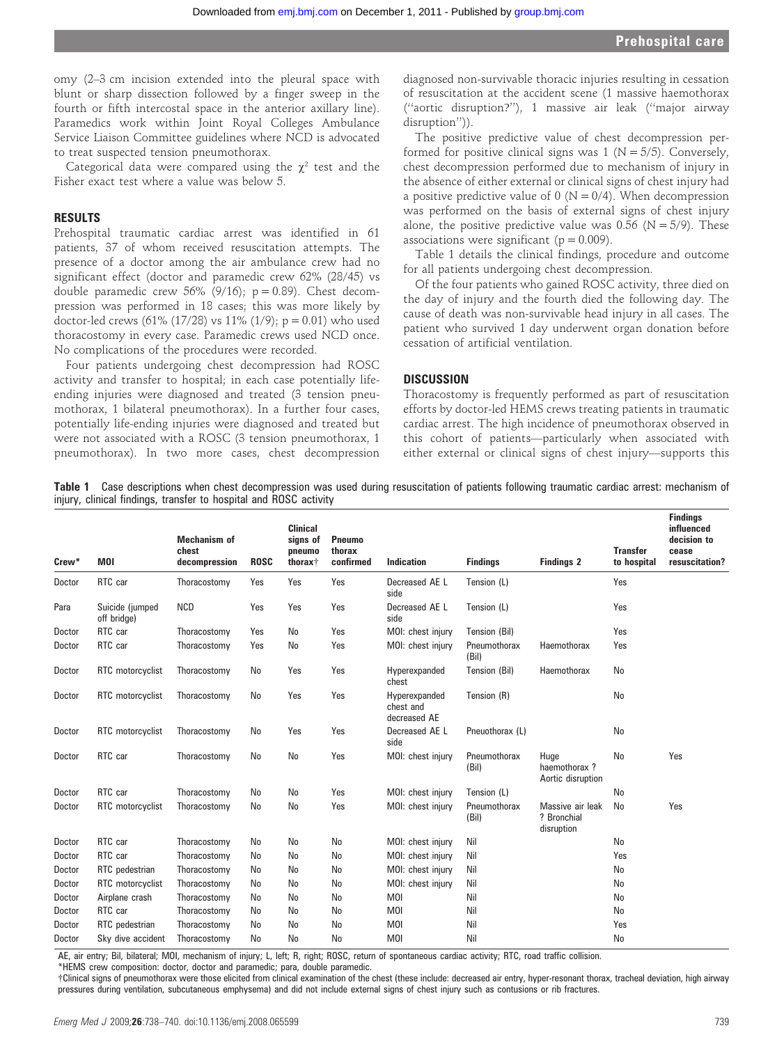omy (2–3 cm incision extended into the pleural space with blunt or sharp dissection followed by a finger sweep in the fourth or fifth intercostal space in the anterior axillary line). Paramedics work within Joint Royal Colleges Ambulance Service Liaison Committee guidelines where NCD is advocated to treat suspected tension pneumothorax.

Categorical data were compared using the  $\gamma^2$  test and the Fisher exact test where a value was below 5.

#### RESULTS

Prehospital traumatic cardiac arrest was identified in 61 patients, 37 of whom received resuscitation attempts. The presence of a doctor among the air ambulance crew had no significant effect (doctor and paramedic crew 62% (28/45) vs double paramedic crew 56% (9/16);  $p = 0.89$ ). Chest decompression was performed in 18 cases; this was more likely by doctor-led crews (61% (17/28) vs 11% (1/9);  $p = 0.01$ ) who used thoracostomy in every case. Paramedic crews used NCD once. No complications of the procedures were recorded.

Four patients undergoing chest decompression had ROSC activity and transfer to hospital; in each case potentially lifeending injuries were diagnosed and treated (3 tension pneumothorax, 1 bilateral pneumothorax). In a further four cases, potentially life-ending injuries were diagnosed and treated but were not associated with a ROSC (3 tension pneumothorax, 1 pneumothorax). In two more cases, chest decompression

diagnosed non-survivable thoracic injuries resulting in cessation of resuscitation at the accident scene (1 massive haemothorax (''aortic disruption?''), 1 massive air leak (''major airway disruption'')).

The positive predictive value of chest decompression performed for positive clinical signs was 1 ( $N = 5/5$ ). Conversely, chest decompression performed due to mechanism of injury in the absence of either external or clinical signs of chest injury had a positive predictive value of 0 ( $N = 0/4$ ). When decompression was performed on the basis of external signs of chest injury alone, the positive predictive value was  $0.56$  (N = 5/9). These associations were significant ( $p = 0.009$ ).

Table 1 details the clinical findings, procedure and outcome for all patients undergoing chest decompression.

Of the four patients who gained ROSC activity, three died on the day of injury and the fourth died the following day. The cause of death was non-survivable head injury in all cases. The patient who survived 1 day underwent organ donation before cessation of artificial ventilation.

#### **DISCUSSION**

Thoracostomy is frequently performed as part of resuscitation efforts by doctor-led HEMS crews treating patients in traumatic cardiac arrest. The high incidence of pneumothorax observed in this cohort of patients—particularly when associated with either external or clinical signs of chest injury—supports this

Table 1 Case descriptions when chest decompression was used during resuscitation of patients following traumatic cardiac arrest: mechanism of injury, clinical findings, transfer to hospital and ROSC activity

| Crew <sup>*</sup> | <b>MOI</b>                     | <b>Mechanism of</b><br>chest<br>decompression | <b>ROSC</b> | <b>Clinical</b><br>signs of<br>pneumo<br>thorax <sup>+</sup> | <b>Pneumo</b><br>thorax<br>confirmed | Indication                                 | <b>Findings</b>       | <b>Findings 2</b>                             | <b>Transfer</b><br>to hospital | <b>Findings</b><br>influenced<br>decision to<br>cease<br>resuscitation? |
|-------------------|--------------------------------|-----------------------------------------------|-------------|--------------------------------------------------------------|--------------------------------------|--------------------------------------------|-----------------------|-----------------------------------------------|--------------------------------|-------------------------------------------------------------------------|
| Doctor            | RTC car                        | Thoracostomy                                  | Yes         | Yes                                                          | Yes                                  | Decreased AE L<br>side                     | Tension (L)           |                                               | Yes                            |                                                                         |
| Para              | Suicide (jumped<br>off bridge) | <b>NCD</b>                                    | Yes         | Yes                                                          | Yes                                  | Decreased AE L<br>side                     | Tension (L)           |                                               | Yes                            |                                                                         |
| Doctor            | RTC car                        | Thoracostomy                                  | Yes         | No                                                           | Yes                                  | MOI: chest injury                          | Tension (Bil)         |                                               | Yes                            |                                                                         |
| Doctor            | RTC car                        | Thoracostomy                                  | Yes         | No                                                           | Yes                                  | MOI: chest injury                          | Pneumothorax<br>(Bil) | Haemothorax                                   | Yes                            |                                                                         |
| Doctor            | RTC motorcyclist               | Thoracostomy                                  | No          | Yes                                                          | Yes                                  | Hyperexpanded<br>chest                     | Tension (Bil)         | Haemothorax                                   | No                             |                                                                         |
| Doctor            | RTC motorcyclist               | Thoracostomy                                  | No          | Yes                                                          | Yes                                  | Hyperexpanded<br>chest and<br>decreased AE | Tension (R)           |                                               | No                             |                                                                         |
| Doctor            | RTC motorcyclist               | Thoracostomy                                  | No          | Yes                                                          | Yes                                  | Decreased AE L<br>side                     | Pneuothorax (L)       |                                               | No                             |                                                                         |
| Doctor            | RTC car                        | Thoracostomy                                  | No          | No                                                           | Yes                                  | MOI: chest injury                          | Pneumothorax<br>(Bil) | Huge<br>haemothorax?<br>Aortic disruption     | No                             | Yes                                                                     |
| Doctor            | RTC car                        | Thoracostomy                                  | No          | No                                                           | Yes                                  | MOI: chest injury                          | Tension (L)           |                                               | No                             |                                                                         |
| Doctor            | RTC motorcyclist               | Thoracostomy                                  | No          | No                                                           | Yes                                  | MOI: chest injury                          | Pneumothorax<br>(Bil) | Massive air leak<br>? Bronchial<br>disruption | <b>No</b>                      | Yes                                                                     |
| Doctor            | RTC car                        | Thoracostomy                                  | No          | No                                                           | No                                   | MOI: chest injury                          | Nil                   |                                               | No                             |                                                                         |
| Doctor            | RTC car                        | Thoracostomy                                  | No          | No                                                           | No                                   | MOI: chest injury                          | Nil                   |                                               | Yes                            |                                                                         |
| Doctor            | RTC pedestrian                 | Thoracostomy                                  | No          | No                                                           | No                                   | MOI: chest injury                          | Nil                   |                                               | <b>No</b>                      |                                                                         |
| Doctor            | RTC motorcyclist               | Thoracostomy                                  | No          | No                                                           | No                                   | MOI: chest injury                          | Nil                   |                                               | No                             |                                                                         |
| Doctor            | Airplane crash                 | Thoracostomy                                  | No          | No                                                           | No                                   | <b>MOI</b>                                 | Nil                   |                                               | No                             |                                                                         |
| Doctor            | RTC car                        | Thoracostomy                                  | No          | No                                                           | No                                   | <b>MOI</b>                                 | Nil                   |                                               | No                             |                                                                         |
| Doctor            | RTC pedestrian                 | Thoracostomy                                  | No          | No                                                           | No                                   | <b>MOI</b>                                 | Nil                   |                                               | Yes                            |                                                                         |
| Doctor            | Sky dive accident              | Thoracostomy                                  | No          | No                                                           | No                                   | <b>MOI</b>                                 | Nil                   |                                               | No                             |                                                                         |

AE, air entry; Bil, bilateral; MOI, mechanism of injury; L, left; R, right; ROSC, return of spontaneous cardiac activity; RTC, road traffic collision.

\*HEMS crew composition: doctor, doctor and paramedic; para, double paramedic.

{Clinical signs of pneumothorax were those elicited from clinical examination of the chest (these include: decreased air entry, hyper-resonant thorax, tracheal deviation, high airway pressures during ventilation, subcutaneous emphysema) and did not include external signs of chest injury such as contusions or rib fractures.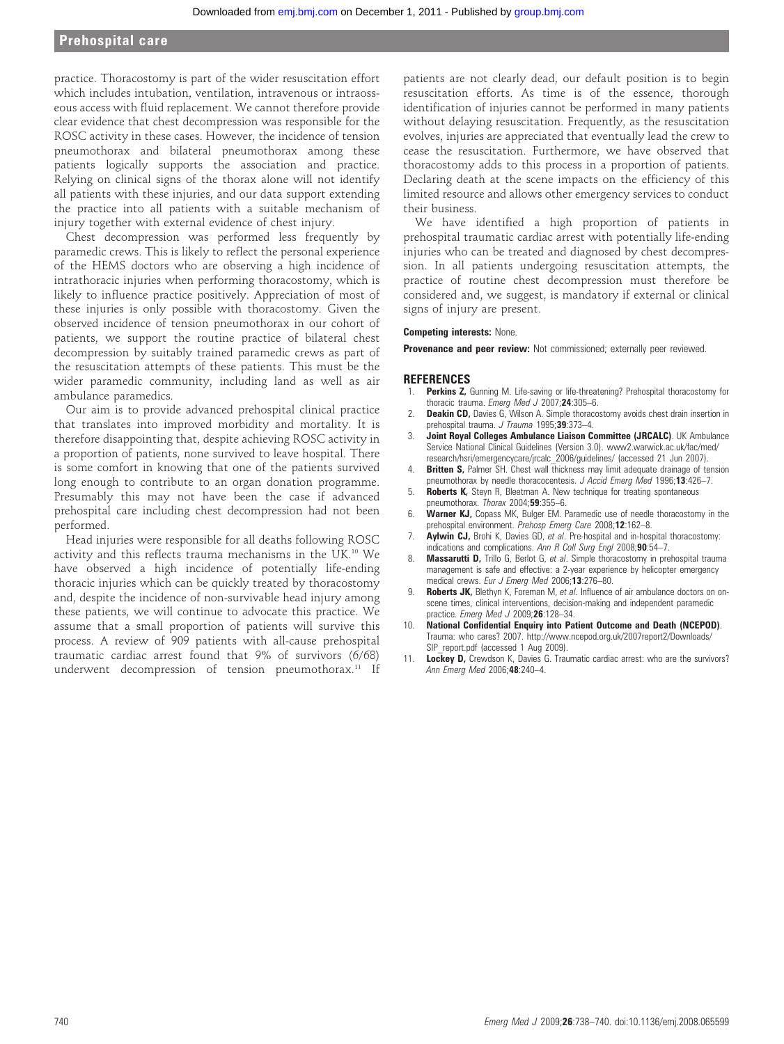## Prehospital care

practice. Thoracostomy is part of the wider resuscitation effort which includes intubation, ventilation, intravenous or intraosseous access with fluid replacement. We cannot therefore provide clear evidence that chest decompression was responsible for the ROSC activity in these cases. However, the incidence of tension pneumothorax and bilateral pneumothorax among these patients logically supports the association and practice. Relying on clinical signs of the thorax alone will not identify all patients with these injuries, and our data support extending the practice into all patients with a suitable mechanism of injury together with external evidence of chest injury.

Chest decompression was performed less frequently by paramedic crews. This is likely to reflect the personal experience of the HEMS doctors who are observing a high incidence of intrathoracic injuries when performing thoracostomy, which is likely to influence practice positively. Appreciation of most of these injuries is only possible with thoracostomy. Given the observed incidence of tension pneumothorax in our cohort of patients, we support the routine practice of bilateral chest decompression by suitably trained paramedic crews as part of the resuscitation attempts of these patients. This must be the wider paramedic community, including land as well as air ambulance paramedics.

Our aim is to provide advanced prehospital clinical practice that translates into improved morbidity and mortality. It is therefore disappointing that, despite achieving ROSC activity in a proportion of patients, none survived to leave hospital. There is some comfort in knowing that one of the patients survived long enough to contribute to an organ donation programme. Presumably this may not have been the case if advanced prehospital care including chest decompression had not been performed.

Head injuries were responsible for all deaths following ROSC activity and this reflects trauma mechanisms in the UK.10 We have observed a high incidence of potentially life-ending thoracic injuries which can be quickly treated by thoracostomy and, despite the incidence of non-survivable head injury among these patients, we will continue to advocate this practice. We assume that a small proportion of patients will survive this process. A review of 909 patients with all-cause prehospital traumatic cardiac arrest found that 9% of survivors (6/68) underwent decompression of tension pneumothorax.<sup>11</sup> If

patients are not clearly dead, our default position is to begin resuscitation efforts. As time is of the essence, thorough identification of injuries cannot be performed in many patients without delaying resuscitation. Frequently, as the resuscitation evolves, injuries are appreciated that eventually lead the crew to cease the resuscitation. Furthermore, we have observed that thoracostomy adds to this process in a proportion of patients. Declaring death at the scene impacts on the efficiency of this limited resource and allows other emergency services to conduct their business.

We have identified a high proportion of patients in prehospital traumatic cardiac arrest with potentially life-ending injuries who can be treated and diagnosed by chest decompression. In all patients undergoing resuscitation attempts, the practice of routine chest decompression must therefore be considered and, we suggest, is mandatory if external or clinical signs of injury are present.

#### Competing interests: None.

Provenance and peer review: Not commissioned; externally peer reviewed.

#### **REFERENCES**

- Perkins Z, Gunning M. Life-saving or life-threatening? Prehospital thoracostomy for thoracic trauma. Emerg Med J 2007;24:305-6.
- 2. **Deakin CD,** Davies G, Wilson A. Simple thoracostomy avoids chest drain insertion in prehospital trauma. J Trauma 1995:39:373-4.
- Joint Royal Colleges Ambulance Liaison Committee (JRCALC). UK Ambulance Service National Clinical Guidelines (Version 3.0). www2.warwick.ac.uk/fac/med/ research/hsri/emergencycare/jrcalc\_2006/guidelines/ (accessed 21 Jun 2007).
- **Britten S,** Palmer SH. Chest wall thickness may limit adequate drainage of tension pneumothorax by needle thoracocentesis. J Accid Emerg Med 1996;13:426-7.
- 5. **Roberts K,** Steyn R, Bleetman A. New technique for treating spontaneous pneumothorax. Thorax 2004;59:355–6.
- 6. Warner KJ, Copass MK, Bulger EM. Paramedic use of needle thoracostomy in the prehospital environment. Prehosp Emerg Care 2008;12:162–8.
- 7. **Aylwin CJ,** Brohi K, Davies GD, et al. Pre-hospital and in-hospital thoracostomy: indications and complications. Ann R Coll Surg Engl 2008;90:54-7.
- 8. Massarutti D, Trillo G, Berlot G, et al. Simple thoracostomy in prehospital trauma management is safe and effective: a 2-year experience by helicopter emergency medical crews. Eur J Emerg Med 2006;13:276–80.
- 9. **Roberts JK,** Blethyn K, Foreman M, et al. Influence of air ambulance doctors on onscene times, clinical interventions, decision-making and independent paramedic practice. Emerg Med J 2009;26:128-34.
- 10. National Confidential Enquiry into Patient Outcome and Death (NCEPOD). Trauma: who cares? 2007. http://www.ncepod.org.uk/2007report2/Downloads/ SIP\_report.pdf (accessed 1 Aug 2009).
- 11. Lockey D, Crewdson K, Davies G. Traumatic cardiac arrest: who are the survivors? Ann Emerg Med 2006;48:240–4.